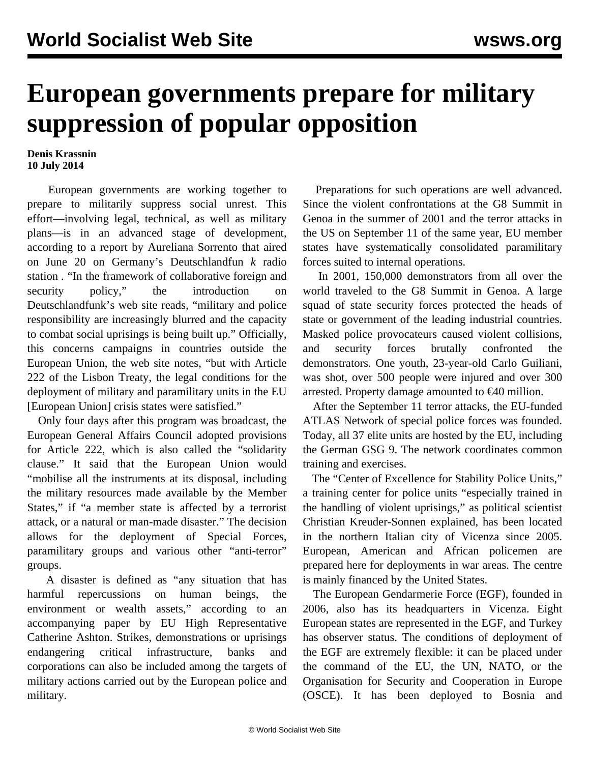## **European governments prepare for military suppression of popular opposition**

## **Denis Krassnin 10 July 2014**

 European governments are working together to prepare to militarily suppress social unrest. This effort—involving legal, technical, as well as military plans—is in an advanced stage of development, according to a report by Aureliana Sorrento that aired on June 20 on Germany's Deutschlandfun *k* radio station *.* "In the framework of collaborative foreign and security policy," the introduction on Deutschlandfunk's web site reads, "military and police responsibility are increasingly blurred and the capacity to combat social uprisings is being built up." Officially, this concerns campaigns in countries outside the European Union, the web site notes, "but with Article 222 of the Lisbon Treaty, the legal conditions for the deployment of military and paramilitary units in the EU [European Union] crisis states were satisfied."

 Only four days after this program was broadcast, the European General Affairs Council adopted provisions for Article 222, which is also called the "solidarity clause." It said that the European Union would "mobilise all the instruments at its disposal, including the military resources made available by the Member States," if "a member state is affected by a terrorist attack, or a natural or man-made disaster." The decision allows for the deployment of Special Forces, paramilitary groups and various other "anti-terror" groups.

 A disaster is defined as "any situation that has harmful repercussions on human beings, the environment or wealth assets," according to an accompanying paper by EU High Representative Catherine Ashton. Strikes, demonstrations or uprisings endangering critical infrastructure, banks and corporations can also be included among the targets of military actions carried out by the European police and military.

 Preparations for such operations are well advanced. Since the violent confrontations at the G8 Summit in Genoa in the summer of 2001 and the terror attacks in the US on September 11 of the same year, EU member states have systematically consolidated paramilitary forces suited to internal operations.

 In 2001, 150,000 demonstrators from all over the world traveled to the G8 Summit in Genoa. A large squad of state security forces protected the heads of state or government of the leading industrial countries. Masked police provocateurs caused violent collisions, and security forces brutally confronted the demonstrators. One youth, 23-year-old Carlo Guiliani, was shot, over 500 people were injured and over 300 arrested. Property damage amounted to €40 million.

 After the September 11 terror attacks, the EU-funded ATLAS Network of special police forces was founded. Today, all 37 elite units are hosted by the EU, including the German GSG 9. The network coordinates common training and exercises.

 The "Center of Excellence for Stability Police Units," a training center for police units "especially trained in the handling of violent uprisings," as political scientist Christian Kreuder-Sonnen explained, has been located in the northern Italian city of Vicenza since 2005. European, American and African policemen are prepared here for deployments in war areas. The centre is mainly financed by the United States.

 The European Gendarmerie Force (EGF), founded in 2006, also has its headquarters in Vicenza. Eight European states are represented in the EGF, and Turkey has observer status. The conditions of deployment of the EGF are extremely flexible: it can be placed under the command of the EU, the UN, NATO, or the Organisation for Security and Cooperation in Europe (OSCE). It has been deployed to Bosnia and